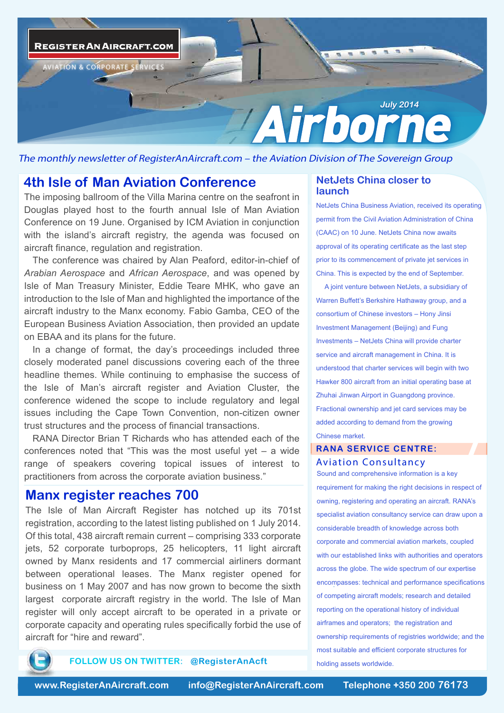

The monthly newsletter of RegisterAnAircraft.com – the Aviation Division of The Sovereign Group

# **4th Isle of Man Aviation Conference**

The imposing ballroom of the Villa Marina centre on the seafront in Douglas played host to the fourth annual Isle of Man Aviation Conference on 19 June. Organised by ICM Aviation in conjunction with the island's aircraft registry, the agenda was focused on aircraft finance, regulation and registration.

The conference was chaired by Alan Peaford, editor-in-chief of *Arabian Aerospace* and *African Aerospace*, and was opened by Isle of Man Treasury Minister, Eddie Teare MHK, who gave an introduction to the Isle of Man and highlighted the importance of the aircraft industry to the Manx economy. Fabio Gamba, CEO of the European Business Aviation Association, then provided an update on EBAA and its plans for the future.

In a change of format, the day's proceedings included three closely moderated panel discussions covering each of the three headline themes. While continuing to emphasise the success of the Isle of Man's aircraft register and Aviation Cluster, the conference widened the scope to include regulatory and legal issues including the Cape Town Convention, non-citizen owner trust structures and the process of financial transactions.

RANA Director Brian T Richards who has attended each of the conferences noted that "This was the most useful yet – a wide range of speakers covering topical issues of interest to practitioners from across the corporate aviation business."

## **Manx register reaches 700**

The Isle of Man Aircraft Register has notched up its 701st registration, according to the latest listing published on 1 July 2014. Of this total, 438 aircraft remain current – comprising 333 corporate jets, 52 corporate turboprops, 25 helicopters, 11 light aircraft owned by Manx residents and 17 commercial airliners dormant between operational leases. The Manx register opened for business on 1 May 2007 and has now grown to become the sixth largest corporate aircraft registry in the world. The Isle of Man register will only accept aircraft to be operated in a private or corporate capacity and operating rules specifically forbid the use of aircraft for "hire and reward".

### **NetJets China closer to launch**

NetJets China Business Aviation, received its operating permit from the Civil Aviation Administration of China (CAAC) on 10 June. NetJets China now awaits approval of its operating certificate as the last step prior to its commencement of private jet services in China. This is expected by the end of September.

A joint venture between NetJets, a subsidiary of Warren Buffett's Berkshire Hathaway group, and a consortium of Chinese investors – Hony Jinsi Investment Management (Beijing) and Fung Investments – NetJets China will provide charter service and aircraft management in China. It is understood that charter services will begin with two Hawker 800 aircraft from an initial operating base at Zhuhai Jinwan Airport in Guangdong province. Fractional ownership and jet card services may be added according to demand from the growing Chinese market.

## **RANA SERVICE CENTRE:** *Aviation Consultancy*

Sound and comprehensive information is a key requirement for making the right decisions in respect of owning, registering and operating an aircraft. RANA's specialist aviation consultancy service can draw upon a considerable breadth of knowledge across both corporate and commercial aviation markets, coupled with our established links with authorities and operators across the globe. The wide spectrum of our expertise encompasses: technical and performance specifications . of competing aircraft models; research and detailed reporting on the operational history of individual airframes and operators; the registration and ownership requirements of registries worldwide; and the most suitable and efficient corporate structures for holding assets worldwide.



**FOLLOW US ON TWITTER: @RegisterAnAcft**